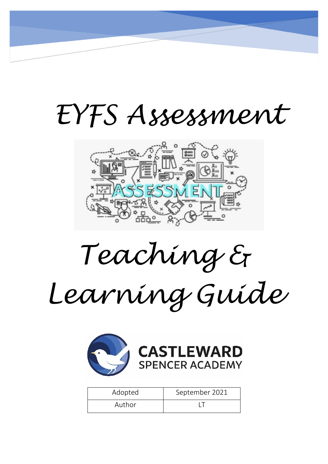# *EYFS Assessment*



*Teaching &* 

*Learning Guide* 



| Adopted | September 2021 |
|---------|----------------|
| Author  |                |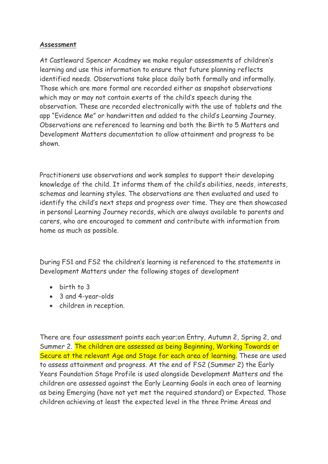# **Assessment**

At Castleward Spencer Acadmey we make regular assessments of children's learning and use this information to ensure that future planning reflects identified needs. Observations take place daily both formally and informally. Those which are more formal are recorded either as snapshot observations which may or may not contain exerts of the child's speech during the observation. These are recorded electronically with the use of tablets and the app "Evidence Me" or handwritten and added to the child's Learning Journey. Observations are referenced to learning and both the Birth to 5 Matters and Development Matters documentation to allow attainment and progress to be shown.

Practitioners use observations and work samples to support their developing knowledge of the child. It informs them of the child's abilities, needs, interests, schemas and learning styles. The observations are then evaluated and used to identify the child's next steps and progress over time. They are then showcased in personal Learning Journey records, which are always available to parents and carers, who are encouraged to comment and contribute with information from home as much as possible.

During FS1 and FS2 the children's learning is referenced to the statements in Development Matters under the following stages of development

- birth to 3
- 3 and 4-year-olds
- children in reception.

There are four assessment points each year;on Entry, Autumn 2, Spring 2, and Summer 2. The children are assessed as being Beginning, Working Towards or Secure at the relevant Age and Stage for each area of learning. These are used to assess attainment and progress. At the end of FS2 (Summer 2) the Early Years Foundation Stage Profile is used alongside Development Matters and the children are assessed against the Early Learning Goals in each area of learning as being Emerging (have not yet met the required standard) or Expected. Those children achieving at least the expected level in the three Prime Areas and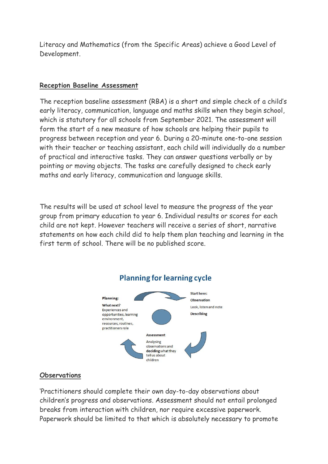Literacy and Mathematics (from the Specific Areas) achieve a Good Level of Development.

#### **Reception Baseline Assessment**

The reception baseline assessment (RBA) is a short and simple check of a child's early literacy, communication, language and maths skills when they begin school, which is statutory for all schools from September 2021. The assessment will form the start of a new measure of how schools are helping their pupils to progress between reception and year 6. During a 20-minute one-to-one session with their teacher or teaching assistant, each child will individually do a number of practical and interactive tasks. They can answer questions verbally or by pointing or moving objects. The tasks are carefully designed to check early maths and early literacy, communication and language skills.

The results will be used at school level to measure the progress of the year group from primary education to year 6. Individual results or scores for each child are not kept. However teachers will receive a series of short, narrative statements on how each child did to help them plan teaching and learning in the first term of school. There will be no published score.



# **Planning for learning cycle**

#### **Observations**

'Practitioners should complete their own day-to-day observations about children's progress and observations. Assessment should not entail prolonged breaks from interaction with children, nor require excessive paperwork. Paperwork should be limited to that which is absolutely necessary to promote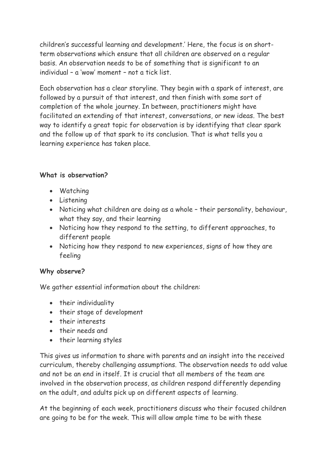children's successful learning and development.' Here, the focus is on shortterm observations which ensure that all children are observed on a regular basis. An observation needs to be of something that is significant to an individual – a 'wow' moment – not a tick list.

Each observation has a clear storyline. They begin with a spark of interest, are followed by a pursuit of that interest, and then finish with some sort of completion of the whole journey. In between, practitioners might have facilitated an extending of that interest, conversations, or new ideas. The best way to identify a great topic for observation is by identifying that clear spark and the follow up of that spark to its conclusion. That is what tells you a learning experience has taken place.

# **What is observation?**

- Watching
- Listening
- Noticing what children are doing as a whole their personality, behaviour, what they say, and their learning
- Noticing how they respond to the setting, to different approaches, to different people
- Noticing how they respond to new experiences, signs of how they are feeling

#### **Why observe?**

We gather essential information about the children:

- their individuality
- their stage of development
- their interests
- their needs and
- their learning styles

This gives us information to share with parents and an insight into the received curriculum, thereby challenging assumptions. The observation needs to add value and not be an end in itself. It is crucial that all members of the team are involved in the observation process, as children respond differently depending on the adult, and adults pick up on different aspects of learning.

At the beginning of each week, practitioners discuss who their focused children are going to be for the week. This will allow ample time to be with these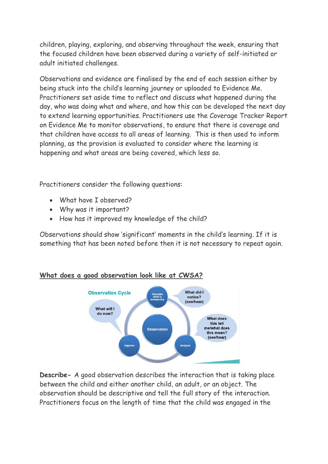children, playing, exploring, and observing throughout the week, ensuring that the focused children have been observed during a variety of self-initiated or adult initiated challenges.

Observations and evidence are finalised by the end of each session either by being stuck into the child's learning journey or uploaded to Evidence Me. Practitioners set aside time to reflect and discuss what happened during the day, who was doing what and where, and how this can be developed the next day to extend learning opportunities. Practitioners use the Coverage Tracker Report on Evidence Me to monitor observations, to ensure that there is coverage and that children have access to all areas of learning. This is then used to inform planning, as the provision is evaluated to consider where the learning is happening and what areas are being covered, which less so.

Practitioners consider the following questions:

- What have I observed?
- Why was it important?
- How has it improved my knowledge of the child?

Observations should show 'significant' moments in the child's learning. If it is something that has been noted before then it is not necessary to repeat again.



# **What does a good observation look like at CWSA?**

**Describe-** A good observation describes the interaction that is taking place between the child and either another child, an adult, or an object. The observation should be descriptive and tell the full story of the interaction. Practitioners focus on the length of time that the child was engaged in the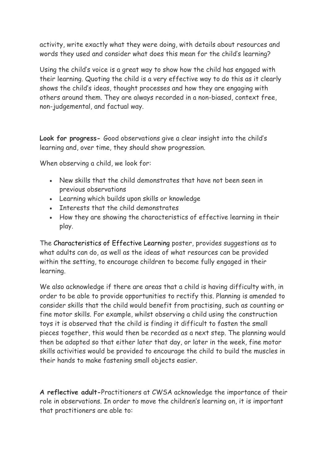activity, write exactly what they were doing, with details about resources and words they used and consider what does this mean for the child's learning?

Using the child's voice is a great way to show how the child has engaged with their learning. Quoting the child is a very effective way to do this as it clearly shows the child's ideas, thought processes and how they are engaging with others around them. They are always recorded in a non-biased, context free, non-judgemental, and factual way.

**Look for progress-** Good observations give a clear insight into the child's learning and, over time, they should show progression.

When observing a child, we look for:

- New skills that the child demonstrates that have not been seen in previous observations
- Learning which builds upon skills or knowledge
- Interests that the child demonstrates
- How they are showing the characteristics of effective learning in their play.

The [Characteristics of Effective Learning p](https://www.twinkl.co.uk/resource/t-c-770-eyfs-characteristics-of-effective-learning-display-poster)oster, provides suggestions as to what adults can do, as well as the ideas of what resources can be provided within the setting, to encourage children to become fully engaged in their learning.

We also acknowledge if there are areas that a child is having difficulty with, in order to be able to provide opportunities to rectify this. Planning is amended to consider skills that the child would benefit from practising, such as counting or fine motor skills. For example, whilst observing a child using the construction toys it is observed that the child is finding it difficult to fasten the small pieces together, this would then be recorded as a next step. The planning would then be adapted so that either later that day, or later in the week, fine motor skills activities would be provided to encourage the child to build the muscles in their hands to make fastening small objects easier.

**A reflective adult-**Practitioners at CWSA acknowledge the importance of their role in observations. In order to move the children's learning on, it is important that practitioners are able to: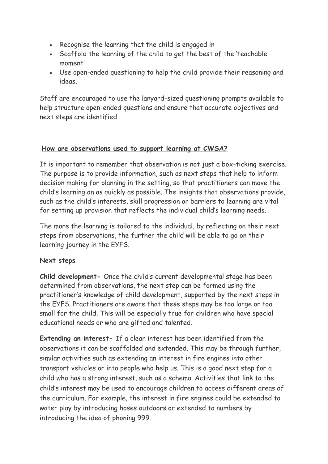- Recognise the learning that the child is engaged in
- Scaffold the learning of the child to get the best of the 'teachable moment'
- Use open-ended questioning to help the child provide their reasoning and ideas.

Staff are encouraged to use the lanyard-sized questioning prompts available to help structure open-ended questions and ensure that accurate objectives and next steps are identified.

# **How are observations used to support learning at CWSA?**

It is important to remember that observation is not just a box-ticking exercise. The purpose is to provide information, such as next steps that help to inform decision making for planning in the setting, so that practitioners can move the child's learning on as quickly as possible. The insights that observations provide, such as the child's interests, skill progression or barriers to learning are vital for setting up provision that reflects the individual child's learning needs.

The more the learning is tailored to the individual, by reflecting on their next steps from observations, the further the child will be able to go on their learning journey in the EYFS.

# **Next steps**

**Child development-** Once the child's current developmental stage has been determined from observations, the next step can be formed using the practitioner's knowledge of child development, supported by the next steps in the EYFS. Practitioners are aware that these steps may be too large or too small for the child. This will be especially true for children who have special educational needs or who are gifted and talented.

**Extending an interest-** If a clear interest has been identified from the observations it can be scaffolded and extended. This may be through further, similar activities such as extending an interest in fire engines into other transport vehicles or into people who help us. This is a good next step for a child who has a strong interest, such as a schema. Activities that link to the child's interest may be used to encourage children to access different areas of the curriculum. For example, the interest in fire engines could be extended to water play by introducing hoses outdoors or extended to numbers by introducing the idea of phoning 999.